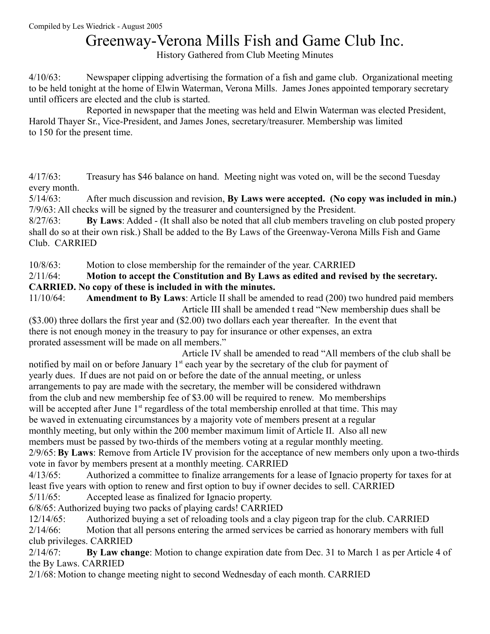## Greenway-Verona Mills Fish and Game Club Inc.

History Gathered from Club Meeting Minutes

4/10/63: Newspaper clipping advertising the formation of a fish and game club. Organizational meeting to be held tonight at the home of Elwin Waterman, Verona Mills. James Jones appointed temporary secretary until officers are elected and the club is started.

Reported in newspaper that the meeting was held and Elwin Waterman was elected President, Harold Thayer Sr., Vice-President, and James Jones, secretary/treasurer. Membership was limited to 150 for the present time.

4/17/63: Treasury has \$46 balance on hand. Meeting night was voted on, will be the second Tuesday every month.

5/14/63: After much discussion and revision, **By Laws were accepted. (No copy was included in min.)** 7/9/63: All checks will be signed by the treasurer and countersigned by the President.

8/27/63: **By Laws**: Added - (It shall also be noted that all club members traveling on club posted propery shall do so at their own risk.) Shall be added to the By Laws of the Greenway-Verona Mills Fish and Game Club. CARRIED

10/8/63: Motion to close membership for the remainder of the year. CARRIED

#### 2/11/64: **Motion to accept the Constitution and By Laws as edited and revised by the secretary. CARRIED. No copy of these is included in with the minutes.**

11/10/64: **Amendment to By Laws**: Article II shall be amended to read (200) two hundred paid members Article III shall be amended t read "New membership dues shall be

(\$3.00) three dollars the first year and (\$2.00) two dollars each year thereafter. In the event that there is not enough money in the treasury to pay for insurance or other expenses, an extra prorated assessment will be made on all members."

 Article IV shall be amended to read "All members of the club shall be notified by mail on or before January  $1<sup>st</sup>$  each year by the secretary of the club for payment of yearly dues. If dues are not paid on or before the date of the annual meeting, or unless arrangements to pay are made with the secretary, the member will be considered withdrawn from the club and new membership fee of \$3.00 will be required to renew. Mo memberships will be accepted after June  $1<sup>st</sup>$  regardless of the total membership enrolled at that time. This may be waved in extenuating circumstances by a majority vote of members present at a regular monthly meeting, but only within the 200 member maximum limit of Article II. Also all new members must be passed by two-thirds of the members voting at a regular monthly meeting.

2/9/65: **By Laws**: Remove from Article IV provision for the acceptance of new members only upon a two-thirds vote in favor by members present at a monthly meeting. CARRIED

4/13/65: Authorized a committee to finalize arrangements for a lease of Ignacio property for taxes for at least five years with option to renew and first option to buy if owner decides to sell. CARRIED

5/11/65: Accepted lease as finalized for Ignacio property.

6/8/65: Authorized buying two packs of playing cards! CARRIED

12/14/65: Authorized buying a set of reloading tools and a clay pigeon trap for the club. CARRIED 2/14/66: Motion that all persons entering the armed services be carried as honorary members with full club privileges. CARRIED

2/14/67: **By Law change**: Motion to change expiration date from Dec. 31 to March 1 as per Article 4 of the By Laws. CARRIED

2/1/68: Motion to change meeting night to second Wednesday of each month. CARRIED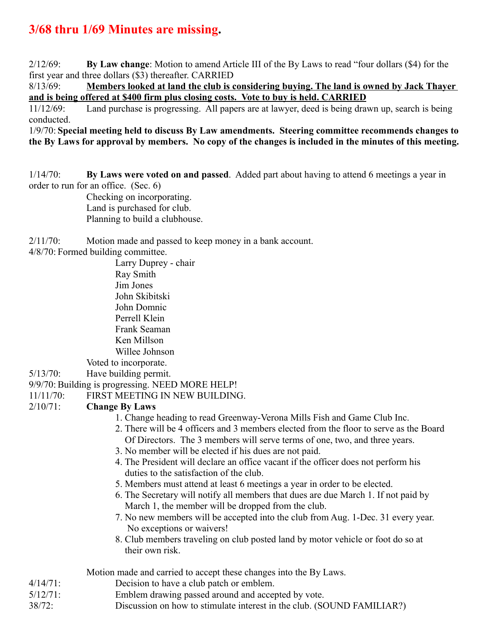### **3/68 thru 1/69 Minutes are missing.**

2/12/69: **By Law change**: Motion to amend Article III of the By Laws to read "four dollars (\$4) for the first year and three dollars (\$3) thereafter. CARRIED

8/13/69: **Members looked at land the club is considering buying. The land is owned by Jack Thayer and is being offered at \$400 firm plus closing costs. Vote to buy is held. CARRIED**

11/12/69: Land purchase is progressing. All papers are at lawyer, deed is being drawn up, search is being conducted.

1/9/70: **Special meeting held to discuss By Law amendments. Steering committee recommends changes to the By Laws for approval by members. No copy of the changes is included in the minutes of this meeting.**

1/14/70: **By Laws were voted on and passed**. Added part about having to attend 6 meetings a year in order to run for an office. (Sec. 6)

Checking on incorporating. Land is purchased for club. Planning to build a clubhouse.

2/11/70: Motion made and passed to keep money in a bank account.

4/8/70: Formed building committee.

Larry Duprey - chair Ray Smith Jim Jones John Skibitski John Domnic Perrell Klein Frank Seaman Ken Millson Willee Johnson Voted to incorporate.

5/13/70: Have building permit.

9/9/70: Building is progressing. NEED MORE HELP!

11/11/70: FIRST MEETING IN NEW BUILDING.

#### 2/10/71: **Change By Laws**

- 1. Change heading to read Greenway-Verona Mills Fish and Game Club Inc.
- 2. There will be 4 officers and 3 members elected from the floor to serve as the Board Of Directors. The 3 members will serve terms of one, two, and three years.
- 3. No member will be elected if his dues are not paid.
- 4. The President will declare an office vacant if the officer does not perform his duties to the satisfaction of the club.
- 5. Members must attend at least 6 meetings a year in order to be elected.
- 6. The Secretary will notify all members that dues are due March 1. If not paid by March 1, the member will be dropped from the club.
- 7. No new members will be accepted into the club from Aug. 1-Dec. 31 every year. No exceptions or waivers!
- 8. Club members traveling on club posted land by motor vehicle or foot do so at their own risk.
- Motion made and carried to accept these changes into the By Laws.
- 4/14/71: Decision to have a club patch or emblem.
- 5/12/71: Emblem drawing passed around and accepted by vote.
- 38/72: Discussion on how to stimulate interest in the club. (SOUND FAMILIAR?)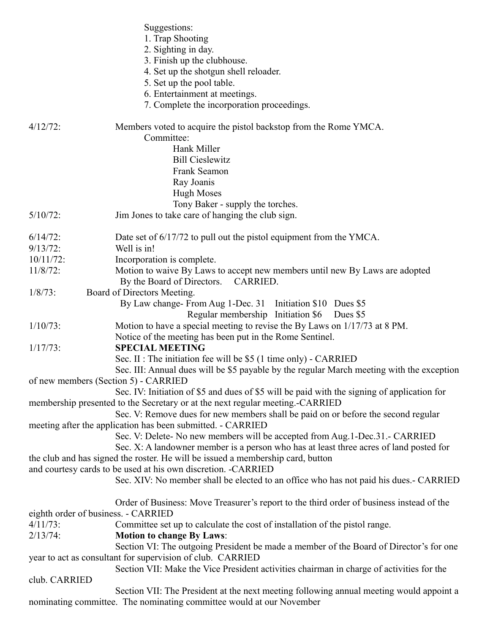|                            | Suggestions:<br>1. Trap Shooting<br>2. Sighting in day.<br>3. Finish up the clubhouse.<br>4. Set up the shotgun shell reloader.<br>5. Set up the pool table.<br>6. Entertainment at meetings.<br>7. Complete the incorporation proceedings. |
|----------------------------|---------------------------------------------------------------------------------------------------------------------------------------------------------------------------------------------------------------------------------------------|
| $4/12/72$ :                | Members voted to acquire the pistol backstop from the Rome YMCA.<br>Committee:<br>Hank Miller<br><b>Bill Cieslewitz</b><br>Frank Seamon<br>Ray Joanis<br><b>Hugh Moses</b>                                                                  |
|                            | Tony Baker - supply the torches.                                                                                                                                                                                                            |
| $5/10/72$ :                | Jim Jones to take care of hanging the club sign.                                                                                                                                                                                            |
| $6/14/72$ :<br>$9/13/72$ : | Date set of 6/17/72 to pull out the pistol equipment from the YMCA.<br>Well is in!                                                                                                                                                          |
| $10/11/72$ :               | Incorporation is complete.                                                                                                                                                                                                                  |
| $11/8/72$ :                | Motion to waive By Laws to accept new members until new By Laws are adopted<br>By the Board of Directors. CARRIED.                                                                                                                          |
| $1/8/73$ :                 | Board of Directors Meeting.                                                                                                                                                                                                                 |
|                            | By Law change-From Aug 1-Dec. 31 Initiation \$10 Dues \$5                                                                                                                                                                                   |
|                            | Regular membership Initiation \$6<br>Dues \$5                                                                                                                                                                                               |
| $1/10/73$ :                | Motion to have a special meeting to revise the By Laws on 1/17/73 at 8 PM.                                                                                                                                                                  |
| $1/17/73$ :                | Notice of the meeting has been put in the Rome Sentinel.<br><b>SPECIAL MEETING</b>                                                                                                                                                          |
|                            | Sec. II : The initiation fee will be \$5 (1 time only) - CARRIED                                                                                                                                                                            |
|                            | Sec. III: Annual dues will be \$5 payable by the regular March meeting with the exception                                                                                                                                                   |
|                            | of new members (Section 5) - CARRIED                                                                                                                                                                                                        |
|                            | Sec. IV: Initiation of \$5 and dues of \$5 will be paid with the signing of application for                                                                                                                                                 |
|                            | membership presented to the Secretary or at the next regular meeting.-CARRIED<br>Sec. V: Remove dues for new members shall be paid on or before the second regular                                                                          |
|                            | meeting after the application has been submitted. - CARRIED                                                                                                                                                                                 |
|                            | Sec. V: Delete- No new members will be accepted from Aug. 1-Dec. 31. - CARRIED                                                                                                                                                              |
|                            | Sec. X: A landowner member is a person who has at least three acres of land posted for                                                                                                                                                      |
|                            | the club and has signed the roster. He will be issued a membership card, button                                                                                                                                                             |
|                            | and courtesy cards to be used at his own discretion. -CARRIED                                                                                                                                                                               |
|                            | Sec. XIV: No member shall be elected to an office who has not paid his dues. - CARRIED                                                                                                                                                      |
|                            | Order of Business: Move Treasurer's report to the third order of business instead of the<br>eighth order of business. - CARRIED                                                                                                             |
| $4/11/73$ :                | Committee set up to calculate the cost of installation of the pistol range.                                                                                                                                                                 |
| $2/13/74$ :                | <b>Motion to change By Laws:</b>                                                                                                                                                                                                            |
|                            | Section VI: The outgoing President be made a member of the Board of Director's for one                                                                                                                                                      |
|                            | year to act as consultant for supervision of club. CARRIED                                                                                                                                                                                  |
|                            | Section VII: Make the Vice President activities chairman in charge of activities for the                                                                                                                                                    |
| club. CARRIED              |                                                                                                                                                                                                                                             |
|                            | Section VII: The President at the next meeting following annual meeting would appoint a<br>nominating committee. The nominating committee would at our November                                                                             |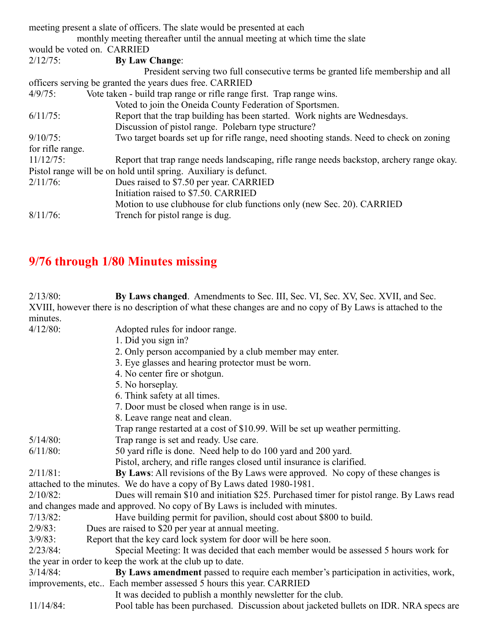|                  | meeting present a slate of officers. The slate would be presented at each                 |
|------------------|-------------------------------------------------------------------------------------------|
|                  | monthly meeting thereafter until the annual meeting at which time the slate               |
|                  | would be voted on. CARRIED                                                                |
| $2/12/75$ :      | <b>By Law Change:</b>                                                                     |
|                  | President serving two full consecutive terms be granted life membership and all           |
|                  | officers serving be granted the years dues free. CARRIED                                  |
| $4/9/75$ :       | Vote taken - build trap range or rifle range first. Trap range wins.                      |
|                  | Voted to join the Oneida County Federation of Sportsmen.                                  |
| $6/11/75$ :      | Report that the trap building has been started. Work nights are Wednesdays.               |
|                  | Discussion of pistol range. Polebarn type structure?                                      |
| $9/10/75$ :      | Two target boards set up for rifle range, need shooting stands. Need to check on zoning   |
| for rifle range. |                                                                                           |
| $11/12/75$ :     | Report that trap range needs landscaping, rifle range needs backstop, archery range okay. |
|                  | Pistol range will be on hold until spring. Auxiliary is defunct.                          |
| $2/11/76$ :      | Dues raised to \$7.50 per year. CARRIED                                                   |
|                  | Initiation raised to \$7.50. CARRIED                                                      |
|                  | Motion to use clubhouse for club functions only (new Sec. 20). CARRIED                    |
| $8/11/76$ :      | Trench for pistol range is dug.                                                           |

# **9/76 through 1/80 Minutes missing**

| $2/13/80$ :  | By Laws changed. Amendments to Sec. III, Sec. VI, Sec. XV, Sec. XVII, and Sec.                             |
|--------------|------------------------------------------------------------------------------------------------------------|
|              | XVIII, however there is no description of what these changes are and no copy of By Laws is attached to the |
| minutes.     |                                                                                                            |
| $4/12/80$ :  | Adopted rules for indoor range.                                                                            |
|              | 1. Did you sign in?                                                                                        |
|              | 2. Only person accompanied by a club member may enter.                                                     |
|              | 3. Eye glasses and hearing protector must be worn.                                                         |
|              | 4. No center fire or shotgun.                                                                              |
|              | 5. No horseplay.                                                                                           |
|              | 6. Think safety at all times.                                                                              |
|              | 7. Door must be closed when range is in use.                                                               |
|              | 8. Leave range neat and clean.                                                                             |
|              | Trap range restarted at a cost of \$10.99. Will be set up weather permitting.                              |
| $5/14/80$ :  | Trap range is set and ready. Use care.                                                                     |
| $6/11/80$ :  | 50 yard rifle is done. Need help to do 100 yard and 200 yard.                                              |
|              | Pistol, archery, and rifle ranges closed until insurance is clarified.                                     |
| $2/11/81$ :  | By Laws: All revisions of the By Laws were approved. No copy of these changes is                           |
|              | attached to the minutes. We do have a copy of By Laws dated 1980-1981.                                     |
| $2/10/82$ :  | Dues will remain \$10 and initiation \$25. Purchased timer for pistol range. By Laws read                  |
|              | and changes made and approved. No copy of By Laws is included with minutes.                                |
| $7/13/82$ :  | Have building permit for pavilion, should cost about \$800 to build.                                       |
| $2/9/83$ :   | Dues are raised to \$20 per year at annual meeting.                                                        |
| $3/9/83$ :   | Report that the key card lock system for door will be here soon.                                           |
| $2/23/84$ :  | Special Meeting: It was decided that each member would be assessed 5 hours work for                        |
|              | the year in order to keep the work at the club up to date.                                                 |
| $3/14/84$ :  | By Laws amendment passed to require each member's participation in activities, work,                       |
|              | improvements, etc Each member assessed 5 hours this year. CARRIED                                          |
|              | It was decided to publish a monthly newsletter for the club.                                               |
| $11/14/84$ : | Pool table has been purchased. Discussion about jacketed bullets on IDR. NRA specs are                     |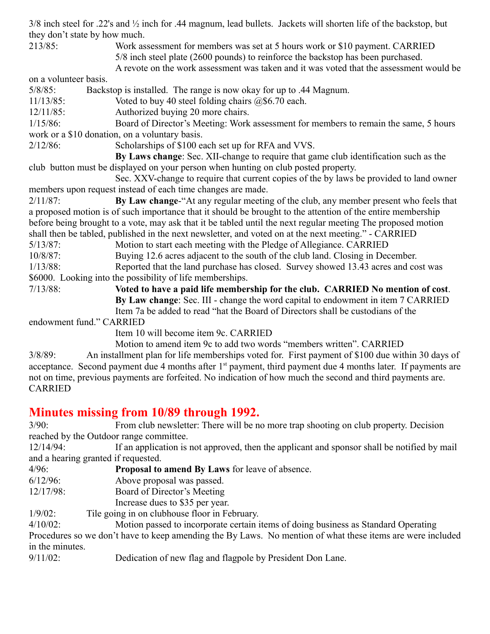3/8 inch steel for .22's and ½ inch for .44 magnum, lead bullets. Jackets will shorten life of the backstop, but they don't state by how much.

213/85: Work assessment for members was set at 5 hours work or \$10 payment. CARRIED 5/8 inch steel plate (2600 pounds) to reinforce the backstop has been purchased.

A revote on the work assessment was taken and it was voted that the assessment would be

on a volunteer basis.

5/8/85: Backstop is installed. The range is now okay for up to .44 Magnum.

11/13/85: Voted to buy 40 steel folding chairs @\$6.70 each.

12/11/85: Authorized buying 20 more chairs.

1/15/86: Board of Director's Meeting: Work assessment for members to remain the same, 5 hours work or a \$10 donation, on a voluntary basis.

2/12/86: Scholarships of \$100 each set up for RFA and VVS.

**By Laws change**: Sec. XII-change to require that game club identification such as the club button must be displayed on your person when hunting on club posted property.

Sec. XXV-change to require that current copies of the by laws be provided to land owner members upon request instead of each time changes are made.

2/11/87: **By Law change**-"At any regular meeting of the club, any member present who feels that a proposed motion is of such importance that it should be brought to the attention of the entire membership before being brought to a vote, may ask that it be tabled until the next regular meeting The proposed motion shall then be tabled, published in the next newsletter, and voted on at the next meeting." - CARRIED

5/13/87: Motion to start each meeting with the Pledge of Allegiance. CARRIED

10/8/87: Buying 12.6 acres adjacent to the south of the club land. Closing in December.

1/13/88: Reported that the land purchase has closed. Survey showed 13.43 acres and cost was \$6000. Looking into the possibility of life memberships.

7/13/88: **Voted to have a paid life membership for the club. CARRIED No mention of cost**.  **By Law change**: Sec. III - change the word capital to endowment in item 7 CARRIED

Item 7a be added to read "hat the Board of Directors shall be custodians of the

endowment fund." CARRIED

Item 10 will become item 9c. CARRIED

Motion to amend item 9c to add two words "members written". CARRIED

3/8/89: An installment plan for life memberships voted for. First payment of \$100 due within 30 days of acceptance. Second payment due 4 months after 1<sup>st</sup> payment, third payment due 4 months later. If payments are not on time, previous payments are forfeited. No indication of how much the second and third payments are. CARRIED

### **Minutes missing from 10/89 through 1992.**

3/90: From club newsletter: There will be no more trap shooting on club property. Decision reached by the Outdoor range committee.

12/14/94: If an application is not approved, then the applicant and sponsor shall be notified by mail and a hearing granted if requested.

4/96: **Proposal to amend By Laws** for leave of absence.

6/12/96: Above proposal was passed.

12/17/98: Board of Director's Meeting

Increase dues to \$35 per year.

1/9/02: Tile going in on clubhouse floor in February.

4/10/02: Motion passed to incorporate certain items of doing business as Standard Operating Procedures so we don't have to keep amending the By Laws. No mention of what these items are were included in the minutes.

9/11/02: Dedication of new flag and flagpole by President Don Lane.